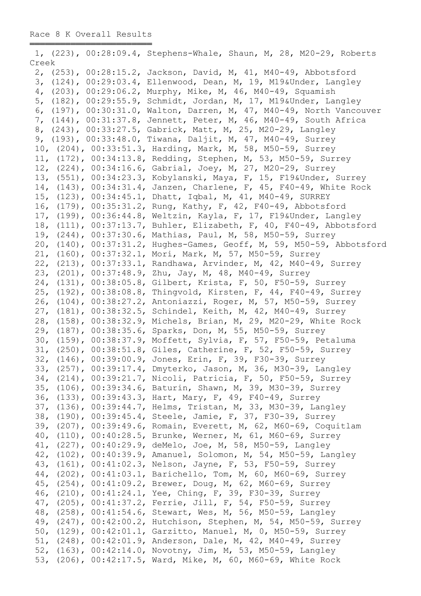|       |  | 1, (223), 00:28:09.4, Stephens-Whale, Shaun, M, 28, M20-29, Roberts                                                             |
|-------|--|---------------------------------------------------------------------------------------------------------------------------------|
| Creek |  |                                                                                                                                 |
|       |  | 2, (253), 00:28:15.2, Jackson, David, M, 41, M40-49, Abbotsford                                                                 |
|       |  | 3, (124), 00:29:03.4, Ellenwood, Dean, M, 19, M19&Under, Langley                                                                |
|       |  | 4, (203), 00:29:06.2, Murphy, Mike, M, 46, M40-49, Squamish                                                                     |
|       |  | 5, (182), 00:29:55.9, Schmidt, Jordan, M, 17, M19&Under, Langley                                                                |
|       |  | 6, (197), 00:30:31.0, Walton, Darren, M, 47, M40-49, North Vancouver                                                            |
|       |  | 7, (144), 00:31:37.8, Jennett, Peter, M, 46, M40-49, South Africa                                                               |
|       |  | 8, (243), 00:33:27.5, Gabrick, Matt, M, 25, M20-29, Langley                                                                     |
|       |  | 9, (193), 00:33:48.0, Tiwana, Daljit, M, 47, M40-49, Surrey                                                                     |
|       |  | 10, (204), 00:33:51.3, Harding, Mark, M, 58, M50-59, Surrey                                                                     |
|       |  | 11, (172), 00:34:13.8, Redding, Stephen, M, 53, M50-59, Surrey                                                                  |
|       |  | 12, (224), 00:34:16.6, Gabrial, Joey, M, 27, M20-29, Surrey                                                                     |
|       |  | 13, (551), 00:34:23.3, Kobylanski, Maya, F, 15, F19&Under, Surrey                                                               |
|       |  | 14, (143), 00:34:31.4, Janzen, Charlene, F, 45, F40-49, White Rock                                                              |
|       |  | 15, (123), 00:34:45.1, Dhatt, Iqbal, M, 41, M40-49, SURREY                                                                      |
|       |  | 16, (179), 00:35:31.2, Rung, Kathy, F, 42, F40-49, Abbotsford                                                                   |
|       |  | 17, (199), 00:36:44.8, Weltzin, Kayla, F, 17, F19&Under, Langley                                                                |
|       |  | 18, (111), 00:37:13.7, Buhler, Elizabeth, F, 40, F40-49, Abbotsford                                                             |
|       |  | 19, (244), 00:37:30.6, Mathias, Paul, M, 58, M50-59, Surrey                                                                     |
|       |  | 20, (140), 00:37:31.2, Hughes-Games, Geoff, M, 59, M50-59, Abbotsford                                                           |
|       |  | 21, (160), 00:37:32.1, Mori, Mark, M, 57, M50-59, Surrey                                                                        |
|       |  | 22, (213), 00:37:33.1, Randhawa, Arvinder, M, 42, M40-49, Surrey                                                                |
|       |  | 23, (201), 00:37:48.9, Zhu, Jay, M, 48, M40-49, Surrey                                                                          |
|       |  | 24, (131), 00:38:05.8, Gilbert, Krista, F, 50, F50-59, Surrey                                                                   |
|       |  | 25, (192), 00:38:08.8, Thingvold, Kirsten, F, 44, F40-49, Surrey                                                                |
|       |  | 26, (104), 00:38:27.2, Antoniazzi, Roger, M, 57, M50-59, Surrey                                                                 |
|       |  | 27, (181), 00:38:32.5, Schindel, Keith, M, 42, M40-49, Surrey                                                                   |
|       |  | 28, (158), 00:38:32.9, Michels, Brian, M, 29, M20-29, White Rock                                                                |
|       |  | 29, (187), 00:38:35.6, Sparks, Don, M, 55, M50-59, Surrey                                                                       |
|       |  | 30, (159), 00:38:37.9, Moffett, Sylvia, F, 57, F50-59, Petaluma                                                                 |
|       |  | 31, (250), 00:38:51.8, Giles, Catherine, F, 52, F50-59, Surrey                                                                  |
|       |  | 32, (146), 00:39:00.9, Jones, Erin, F, 39, F30-39, Surrey                                                                       |
|       |  | 33, (257), 00:39:17.4, Dmyterko, Jason, M, 36, M30-39, Langley                                                                  |
|       |  | 34, (214), 00:39:21.7, Nicoli, Patricia, F, 50, F50-59, Surrey                                                                  |
|       |  | 35, (106), 00:39:34.6, Baturin, Shawn, M, 39, M30-39, Surrey                                                                    |
|       |  | 36, (133), 00:39:43.3, Hart, Mary, F, 49, F40-49, Surrey                                                                        |
|       |  |                                                                                                                                 |
|       |  | 37, (136), 00:39:44.7, Helms, Tristan, M, 33, M30-39, Langley                                                                   |
|       |  | 38, (190), 00:39:45.4, Steele, Jamie, F, 37, F30-39, Surrey<br>39, (207), 00:39:49.6, Romain, Everett, M, 62, M60-69, Coquitlam |
|       |  | 40, (110), 00:40:28.5, Brunke, Werner, M, 61, M60-69, Surrey                                                                    |
|       |  | 41, (227), 00:40:29.9, deMelo, Joe, M, 58, M50-59, Langley                                                                      |
|       |  | 42, (102), 00:40:39.9, Amanuel, Solomon, M, 54, M50-59, Langley                                                                 |
|       |  |                                                                                                                                 |
|       |  | 43, (161), 00:41:02.3, Nelson, Jayne, F, 53, F50-59, Surrey                                                                     |
|       |  | 44, (202), 00:41:03.1, Barichello, Tom, M, 60, M60-69, Surrey                                                                   |
|       |  | 45, (254), 00:41:09.2, Brewer, Doug, M, 62, M60-69, Surrey                                                                      |
|       |  | 46, (210), 00:41:24.1, Yee, Ching, F, 39, F30-39, Surrey                                                                        |
|       |  | 47, (205), 00:41:37.2, Ferrie, Jill, F, 54, F50-59, Surrey                                                                      |
|       |  | 48, (258), 00:41:54.6, Stewart, Wes, M, 56, M50-59, Langley                                                                     |
|       |  | 49, (247), 00:42:00.2, Hutchison, Stephen, M, 54, M50-59, Surrey                                                                |
|       |  | 50, (129), 00:42:01.1, Garzitto, Manuel, M, 0, M50-59, Surrey                                                                   |
|       |  | 51, (248), 00:42:01.9, Anderson, Dale, M, 42, M40-49, Surrey                                                                    |
|       |  | 52, (163), 00:42:14.0, Novotny, Jim, M, 53, M50-59, Langley                                                                     |
|       |  | 53, (206), 00:42:17.5, Ward, Mike, M, 60, M60-69, White Rock                                                                    |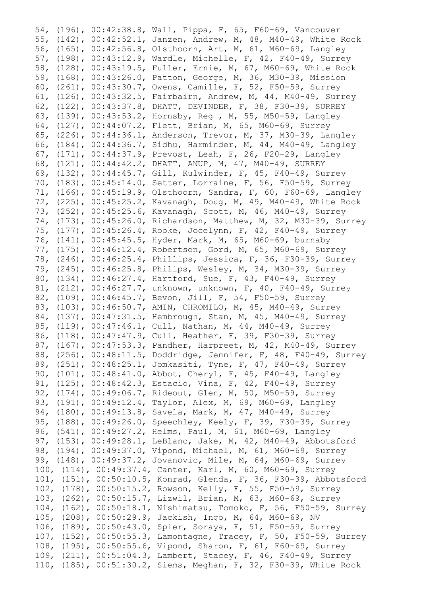54, (196), 00:42:38.8, Wall, Pippa, F, 65, F60-69, Vancouver 55, (142), 00:42:52.1, Janzen, Andrew, M, 48, M40-49, White Rock 56, (165), 00:42:56.8, Olsthoorn, Art, M, 61, M60-69, Langley 57, (198), 00:43:12.9, Wardle, Michelle, F, 42, F40-49, Surrey 58, (128), 00:43:19.5, Fuller, Ernie, M, 67, M60-69, White Rock 59, (168), 00:43:26.0, Patton, George, M, 36, M30-39, Mission 60, (261), 00:43:30.7, Owens, Camille, F, 52, F50-59, Surrey 61, (126), 00:43:32.5, Fairbairn, Andrew, M, 44, M40-49, Surrey 62, (122), 00:43:37.8, DHATT, DEVINDER, F, 38, F30-39, SURREY 63, (139), 00:43:53.2, Hornsby, Reg , M, 55, M50-59, Langley 64, (127), 00:44:07.2, Flett, Brian, M, 65, M60-69, Surrey 65, (226), 00:44:36.1, Anderson, Trevor, M, 37, M30-39, Langley 66, (184), 00:44:36.7, Sidhu, Harminder, M, 44, M40-49, Langley 67, (171), 00:44:37.9, Prevost, Leah, F, 26, F20-29, Langley 68, (121), 00:44:42.2, DHATT, ANUP, M, 47, M40-49, SURREY 69, (132), 00:44:45.7, Gill, Kulwinder, F, 45, F40-49, Surrey 70, (183), 00:45:14.0, Setter, Lorraine, F, 56, F50-59, Surrey 71, (166), 00:45:19.9, Olsthoorn, Sandra, F, 60, F60-69, Langley 72, (225), 00:45:25.2, Kavanagh, Doug, M, 49, M40-49, White Rock 73, (252), 00:45:25.6, Kavanagh, Scott, M, 46, M40-49, Surrey 74, (173), 00:45:26.0, Richardson, Matthew, M, 32, M30-39, Surrey 75, (177), 00:45:26.4, Rooke, Jocelynn, F, 42, F40-49, Surrey 76, (141), 00:45:45.5, Hyder, Mark, M, 65, M60-69, burnaby 77, (175), 00:46:12.4, Robertson, Gord, M, 65, M60-69, Surrey 78, (246), 00:46:25.4, Phillips, Jessica, F, 36, F30-39, Surrey 79, (245), 00:46:25.8, Philips, Wesley, M, 34, M30-39, Surrey 80, (134), 00:46:27.4, Hartford, Sue, F, 43, F40-49, Surrey 81, (212), 00:46:27.7, unknown, unknown, F, 40, F40-49, Surrey 82, (109), 00:46:45.7, Bevon, Jill, F, 54, F50-59, Surrey 83, (103), 00:46:50.7, AMIN, CHROMILO, M, 45, M40-49, Surrey 84, (137), 00:47:31.5, Hembrough, Stan, M, 45, M40-49, Surrey 85, (119), 00:47:46.1, Cull, Nathan, M, 44, M40-49, Surrey 86, (118), 00:47:47.9, Cull, Heather, F, 39, F30-39, Surrey 87, (167), 00:47:53.3, Pandher, Harpreet, M, 42, M40-49, Surrey 88, (256), 00:48:11.5, Doddridge, Jennifer, F, 48, F40-49, Surrey 89, (251), 00:48:25.1, Jomkasiti, Tyne, F, 47, F40-49, Surrey 90, (101), 00:48:41.0, Abbot, Cheryl, F, 45, F40-49, Langley 91, (125), 00:48:42.3, Estacio, Vina, F, 42, F40-49, Surrey 92, (174), 00:49:06.7, Rideout, Glen, M, 50, M50-59, Surrey 93, (191), 00:49:12.4, Taylor, Alex, M, 69, M60-69, Langley 94, (180), 00:49:13.8, Savela, Mark, M, 47, M40-49, Surrey 95, (188), 00:49:26.0, Speechley, Keely, F, 39, F30-39, Surrey 96, (541), 00:49:27.2, Helms, Paul, M, 61, M60-69, Langley 97, (153), 00:49:28.1, LeBlanc, Jake, M, 42, M40-49, Abbotsford 98, (194), 00:49:37.0, Vipond, Michael, M, 61, M60-69, Surrey 99, (148), 00:49:37.2, Jovanovic, Mile, M, 64, M60-69, Surrey 100, (114), 00:49:37.4, Canter, Karl, M, 60, M60-69, Surrey 101, (151), 00:50:10.5, Konrad, Glenda, F, 36, F30-39, Abbotsford 102, (178), 00:50:15.2, Rowson, Kelly, F, 55, F50-59, Surrey 103, (262), 00:50:15.7, Lizwil, Brian, M, 63, M60-69, Surrey 104, (162), 00:50:18.1, Nishimatsu, Tomoko, F, 56, F50-59, Surrey 105, (208), 00:50:29.9, Jackish, Ingo, M, 64, M60-69, NV 106, (189), 00:50:43.0, Spier, Soraya, F, 51, F50-59, Surrey 107, (152), 00:50:55.3, Lamontagne, Tracey, F, 50, F50-59, Surrey 108, (195), 00:50:55.6, Vipond, Sharon, F, 61, F60-69, Surrey 109, (211), 00:51:04.3, Lambert, Stacey, F, 46, F40-49, Surrey 110, (185), 00:51:30.2, Siems, Meghan, F, 32, F30-39, White Rock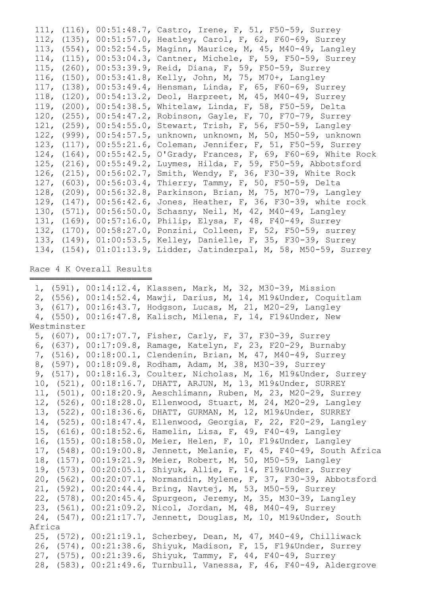|  | 111, (116), 00:51:48.7, Castro, Irene, F, 51, F50-59, Surrey        |
|--|---------------------------------------------------------------------|
|  | 112, (135), 00:51:57.0, Heatley, Carol, F, 62, F60-69, Surrey       |
|  | 113, (554), 00:52:54.5, Maginn, Maurice, M, 45, M40-49, Langley     |
|  | 114, (115), 00:53:04.3, Cantner, Michele, F, 59, F50-59, Surrey     |
|  | 115, (260), 00:53:39.9, Reid, Diana, F, 59, F50-59, Surrey          |
|  | 116, (150), 00:53:41.8, Kelly, John, M, 75, M70+, Langley           |
|  | 117, (138), 00:53:49.4, Hensman, Linda, F, 65, F60-69, Surrey       |
|  | 118, (120), 00:54:13.2, Deol, Harpreet, M, 45, M40-49, Surrey       |
|  | 119, (200), 00:54:38.5, Whitelaw, Linda, F, 58, F50-59, Delta       |
|  | 120, (255), 00:54:47.2, Robinson, Gayle, F, 70, F70-79, Surrey      |
|  | 121, (259), 00:54:55.0, Stewart, Trish, F, 56, F50-59, Langley      |
|  | 122, (999), 00:54:57.5, unknown, unknown, M, 50, M50-59, unknown    |
|  | 123, (117), 00:55:21.6, Coleman, Jennifer, F, 51, F50-59, Surrey    |
|  | 124, (164), 00:55:42.5, O'Grady, Frances, F, 69, F60-69, White Rock |
|  | 125, (216), 00:55:49.2, Luymes, Hilda, F, 59, F50-59, Abbotsford    |
|  | 126, (215), 00:56:02.7, Smith, Wendy, F, 36, F30-39, White Rock     |
|  | 127, (603), 00:56:03.4, Thierry, Tammy, F, 50, F50-59, Delta        |
|  | 128, (209), 00:56:32.8, Parkinson, Brian, M, 75, M70-79, Langley    |
|  | 129, (147), 00:56:42.6, Jones, Heather, F, 36, F30-39, white rock   |
|  | 130, (571), 00:56:50.0, Schasny, Neil, M, 42, M40-49, Langley       |
|  | 131, (169), 00:57:16.0, Philip, Elysa, F, 48, F40-49, Surrey        |
|  | 132, (170), 00:58:27.0, Ponzini, Colleen, F, 52, F50-59, surrey     |
|  | 133, (149), 01:00:53.5, Kelley, Danielle, F, 35, F30-39, Surrey     |
|  | 134, (154), 01:01:13.9, Lidder, Jatinderpal, M, 58, M50-59, Surrey  |

### Race 4 K Overall Results ════════════════════════

|        | 1, (591), 00:14:12.4, Klassen, Mark, M, 32, M30-39, Mission          |
|--------|----------------------------------------------------------------------|
|        | 2, (556), 00:14:52.4, Mawji, Darius, M, 14, M19&Under, Coquitlam     |
|        | 3, (617), 00:16:43.7, Hodgson, Lucas, M, 21, M20-29, Langley         |
|        | 4, (550), 00:16:47.8, Kalisch, Milena, F, 14, F19&Under, New         |
|        |                                                                      |
|        | 5, (607), 00:17:07.7, Fisher, Carly, F, 37, F30-39, Surrey           |
|        | 6, (637), 00:17:09.8, Ramage, Katelyn, F, 23, F20-29, Burnaby        |
|        | 7, (516), 00:18:00.1, Clendenin, Brian, M, 47, M40-49, Surrey        |
|        | 8, (597), 00:18:09.8, Rodham, Adam, M, 38, M30-39, Surrey            |
|        | 9, (517), 00:18:16.3, Coulter, Nicholas, M, 16, M19&Under, Surrey    |
|        | 10, (521), 00:18:16.7, DHATT, ARJUN, M, 13, M19&Under, SURREY        |
|        | 11, (501), 00:18:20.9, Aeschlimann, Ruben, M, 23, M20-29, Surrey     |
|        | 12, (526), 00:18:28.0, Ellenwood, Stuart, M, 24, M20-29, Langley     |
|        | 13, (522), 00:18:36.6, DHATT, GURMAN, M, 12, M19&Under, SURREY       |
|        | 14, (525), 00:18:47.4, Ellenwood, Georgia, F, 22, F20-29, Langley    |
|        | 15, (616), 00:18:52.6, Hamelin, Lisa, F, 49, F40-49, Langley         |
|        | 16, (155), 00:18:58.0, Meier, Helen, F, 10, F19&Under, Langley       |
|        | 17, (548), 00:19:00.8, Jennett, Melanie, F, 45, F40-49, South Africa |
|        | 18, (157), 00:19:21.9, Meier, Robert, M, 50, M50-59, Langley         |
|        | 19, (573), 00:20:05.1, Shiyuk, Allie, F, 14, F19&Under, Surrey       |
|        | 20, (562), 00:20:07.1, Normandin, Mylene, F, 37, F30-39, Abbotsford  |
|        | 21, (592), 00:20:44.4, Bring, Navtej, M, 53, M50-59, Surrey          |
|        | 22, (578), 00:20:45.4, Spurgeon, Jeremy, M, 35, M30-39, Langley      |
|        | 23, (561), 00:21:09.2, Nicol, Jordan, M, 48, M40-49, Surrey          |
|        | 24, (547), 00:21:17.7, Jennett, Douglas, M, 10, M19&Under, South     |
| Africa |                                                                      |
|        | 25, (572), 00:21:19.1, Scherbey, Dean, M, 47, M40-49, Chilliwack     |
|        | 26, (574), 00:21:38.6, Shiyuk, Madison, F, 15, F19&Under, Surrey     |
|        | 27, (575), 00:21:39.6, Shiyuk, Tammy, F, 44, F40-49, Surrey          |
|        | 28, (583), 00:21:49.6, Turnbull, Vanessa, F, 46, F40-49, Aldergrove  |
|        | Westminster                                                          |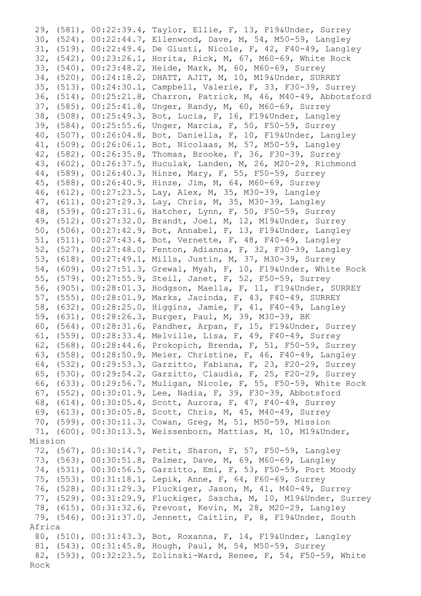29, (581), 00:22:39.4, Taylor, Ellie, F, 13, F19&Under, Surrey 30, (524), 00:22:44.7, Ellenwood, Dave, M, 54, M50-59, Langley 31, (519), 00:22:49.4, De Giusti, Nicole, F, 42, F40-49, Langley 32, (542), 00:23:26.1, Horita, Rick, M, 67, M60-69, White Rock 33, (540), 00:23:48.2, Heide, Mark, M, 60, M60-69, Surrey 34, (520), 00:24:18.2, DHATT, AJIT, M, 10, M19&Under, SURREY 35, (513), 00:24:30.1, Campbell, Valerie, F, 33, F30-39, Surrey 36, (514), 00:25:21.8, Charron, Patrick, M, 46, M40-49, Abbotsford 37, (585), 00:25:41.8, Unger, Randy, M, 60, M60-69, Surrey 38, (508), 00:25:49.3, Bot, Lucia, F, 16, F19&Under, Langley 39, (584), 00:25:55.6, Unger, Marcia, F, 50, F50-59, Surrey 40, (507), 00:26:04.8, Bot, Daniella, F, 10, F19&Under, Langley 41, (509), 00:26:06.1, Bot, Nicolaas, M, 57, M50-59, Langley 42, (582), 00:26:35.8, Thomas, Brooke, F, 36, F30-39, Surrey 43, (602), 00:26:37.5, Huculak, Landen, M, 26, M20-29, Richmond 44, (589), 00:26:40.3, Hinze, Mary, F, 55, F50-59, Surrey 45, (588), 00:26:40.9, Hinze, Jim, M, 64, M60-69, Surrey 46, (612), 00:27:23.5, Lay, Alex, M, 35, M30-39, Langley 47, (611), 00:27:29.3, Lay, Chris, M, 35, M30-39, Langley 48, (539), 00:27:31.6, Hatcher, Lynn, F, 50, F50-59, Surrey 49, (512), 00:27:32.0, Brandt, Joel, M, 12, M19&Under, Surrey 50, (506), 00:27:42.9, Bot, Annabel, F, 13, F19&Under, Langley 51, (511), 00:27:43.4, Bot, Vernette, F, 48, F40-49, Langley 52, (527), 00:27:48.0, Fenton, Adianna, F, 32, F30-39, Langley 53, (618), 00:27:49.1, Mills, Justin, M, 37, M30-39, Surrey 54, (609), 00:27:51.3, Grewal, Myah, F, 10, F19&Under, White Rock 55, (579), 00:27:55.9, Steil, Janet, F, 52, F50-59, Surrey 56, (905), 00:28:01.3, Hodgson, Maella, F, 11, F19&Under, SURREY 57, (555), 00:28:01.9, Marks, Jacinda, F, 43, F40-49, SURREY 58, (632), 00:28:25.0, Higgins, Jamie, F, 41, F40-49, Langley 59, (631), 00:28:26.3, Burger, Paul, M, 39, M30-39, BK 60, (564), 00:28:31.6, Pandher, Arpan, F, 15, F19&Under, Surrey 61, (559), 00:28:33.4, Melville, Lisa, F, 49, F40-49, Surrey 62, (568), 00:28:44.6, Prokopich, Brenda, F, 51, F50-59, Surrey 63, (558), 00:28:50.9, Meier, Christine, F, 46, F40-49, Langley 64, (532), 00:29:53.3, Garzitto, Fabiana, F, 23, F20-29, Surrey 65, (530), 00:29:54.2, Garzitto, Claudia, F, 25, F20-29, Surrey 66, (633), 00:29:56.7, Muligan, Nicole, F, 55, F50-59, White Rock 67, (552), 00:30:01.9, Lee, Nadia, F, 39, F30-39, Abbotsford 68, (614), 00:30:05.4, Scott, Aurora, F, 47, F40-49, Surrey 69, (613), 00:30:05.8, Scott, Chris, M, 45, M40-49, Surrey 70, (599), 00:30:11.3, Cowan, Greg, M, 51, M50-59, Mission 71, (600), 00:30:13.5, Weissenborn, Mattias, M, 10, M19&Under, Mission 72, (567), 00:30:14.7, Petit, Sharon, F, 57, F50-59, Langley 73, (563), 00:30:51.8, Palmer, Dave, M, 69, M60-69, Langley 74, (531), 00:30:56.5, Garzitto, Emi, F, 53, F50-59, Port Moody 75, (553), 00:31:18.1, Lepik, Anne, F, 64, F60-69, Surrey 76, (528), 00:31:29.3, Fluckiger, Jason, M, 41, M40-49, Surrey 77, (529), 00:31:29.9, Fluckiger, Sascha, M, 10, M19&Under, Surrey 78, (615), 00:31:32.6, Prevost, Kevin, M, 28, M20-29, Langley 79, (546), 00:31:37.0, Jennett, Caitlin, F, 8, F19&Under, South Africa 80, (510), 00:31:43.3, Bot, Roxanna, F, 14, F19&Under, Langley 81, (543), 00:31:45.8, Hough, Paul, M, 54, M50-59, Surrey 82, (593), 00:32:23.5, Zolinski-Ward, Renee, F, 54, F50-59, White Rock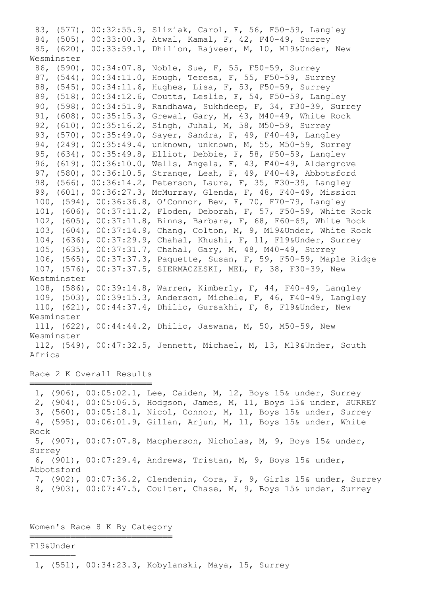83, (577), 00:32:55.9, Sliziak, Carol, F, 56, F50-59, Langley 84, (505), 00:33:00.3, Atwal, Kamal, F, 42, F40-49, Surrey 85, (620), 00:33:59.1, Dhilion, Rajveer, M, 10, M19&Under, New Wesminster 86, (590), 00:34:07.8, Noble, Sue, F, 55, F50-59, Surrey 87, (544), 00:34:11.0, Hough, Teresa, F, 55, F50-59, Surrey 88, (545), 00:34:11.6, Hughes, Lisa, F, 53, F50-59, Surrey 89, (518), 00:34:12.6, Coutts, Leslie, F, 54, F50-59, Langley 90, (598), 00:34:51.9, Randhawa, Sukhdeep, F, 34, F30-39, Surrey 91, (608), 00:35:15.3, Grewal, Gary, M, 43, M40-49, White Rock 92, (610), 00:35:16.2, Singh, Juhal, M, 58, M50-59, Surrey 93, (570), 00:35:49.0, Sayer, Sandra, F, 49, F40-49, Langley 94, (249), 00:35:49.4, unknown, unknown, M, 55, M50-59, Surrey 95, (634), 00:35:49.8, Elliot, Debbie, F, 58, F50-59, Langley 96, (619), 00:36:10.0, Wells, Angela, F, 43, F40-49, Aldergrove 97, (580), 00:36:10.5, Strange, Leah, F, 49, F40-49, Abbotsford 98, (566), 00:36:14.2, Peterson, Laura, F, 35, F30-39, Langley 99, (601), 00:36:27.3, McMurray, Glenda, F, 48, F40-49, Mission 100, (594), 00:36:36.8, O'Connor, Bev, F, 70, F70-79, Langley 101, (606), 00:37:11.2, Floden, Deborah, F, 57, F50-59, White Rock 102, (605), 00:37:11.8, Binns, Barbara, F, 68, F60-69, White Rock 103, (604), 00:37:14.9, Chang, Colton, M, 9, M19&Under, White Rock 104, (636), 00:37:29.9, Chahal, Khushi, F, 11, F19&Under, Surrey 105, (635), 00:37:31.7, Chahal, Gary, M, 48, M40-49, Surrey 106, (565), 00:37:37.3, Paquette, Susan, F, 59, F50-59, Maple Ridge 107, (576), 00:37:37.5, SIERMACZESKI, MEL, F, 38, F30-39, New Westminster 108, (586), 00:39:14.8, Warren, Kimberly, F, 44, F40-49, Langley 109, (503), 00:39:15.3, Anderson, Michele, F, 46, F40-49, Langley 110, (621), 00:44:37.4, Dhilio, Gursakhi, F, 8, F19&Under, New Wesminster 111, (622), 00:44:44.2, Dhilio, Jaswana, M, 50, M50-59, New Wesminster 112, (549), 00:47:32.5, Jennett, Michael, M, 13, M19&Under, South Africa

Race 2 K Overall Results ════════════════════════

 1, (906), 00:05:02.1, Lee, Caiden, M, 12, Boys 15& under, Surrey 2, (904), 00:05:06.5, Hodgson, James, M, 11, Boys 15& under, SURREY 3, (560), 00:05:18.1, Nicol, Connor, M, 11, Boys 15& under, Surrey 4, (595), 00:06:01.9, Gillan, Arjun, M, 11, Boys 15& under, White Rock 5, (907), 00:07:07.8, Macpherson, Nicholas, M, 9, Boys 15& under, Surrey 6, (901), 00:07:29.4, Andrews, Tristan, M, 9, Boys 15& under, Abbotsford 7, (902), 00:07:36.2, Clendenin, Cora, F, 9, Girls 15& under, Surrey 8, (903), 00:07:47.5, Coulter, Chase, M, 9, Boys 15& under, Surrey

Women's Race 8 K By Category ════════════════════════════

### F19&Under ─────────

1, (551), 00:34:23.3, Kobylanski, Maya, 15, Surrey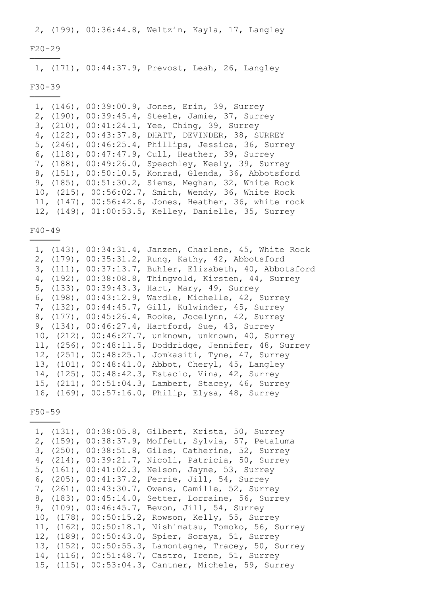2, (199), 00:36:44.8, Weltzin, Kayla, 17, Langley

### F20-29 ──────

1, (171), 00:44:37.9, Prevost, Leah, 26, Langley

#### F30-39 ──────

 1, (146), 00:39:00.9, Jones, Erin, 39, Surrey 2, (190), 00:39:45.4, Steele, Jamie, 37, Surrey 3, (210), 00:41:24.1, Yee, Ching, 39, Surrey 4, (122), 00:43:37.8, DHATT, DEVINDER, 38, SURREY 5, (246), 00:46:25.4, Phillips, Jessica, 36, Surrey 6, (118), 00:47:47.9, Cull, Heather, 39, Surrey 7, (188), 00:49:26.0, Speechley, Keely, 39, Surrey 8, (151), 00:50:10.5, Konrad, Glenda, 36, Abbotsford 9, (185), 00:51:30.2, Siems, Meghan, 32, White Rock 10, (215), 00:56:02.7, Smith, Wendy, 36, White Rock 11, (147), 00:56:42.6, Jones, Heather, 36, white rock 12, (149), 01:00:53.5, Kelley, Danielle, 35, Surrey

 $F40-49$ 

|  | 1, (143), 00:34:31.4, Janzen, Charlene, 45, White Rock  |
|--|---------------------------------------------------------|
|  | 2, (179), 00:35:31.2, Rung, Kathy, 42, Abbotsford       |
|  | 3, (111), 00:37:13.7, Buhler, Elizabeth, 40, Abbotsford |
|  | 4, (192), 00:38:08.8, Thingvold, Kirsten, 44, Surrey    |
|  | 5, (133), 00:39:43.3, Hart, Mary, 49, Surrey            |
|  | 6, (198), 00:43:12.9, Wardle, Michelle, 42, Surrey      |
|  | 7, (132), 00:44:45.7, Gill, Kulwinder, 45, Surrey       |
|  | 8, (177), 00:45:26.4, Rooke, Jocelynn, 42, Surrey       |
|  | 9, (134), 00:46:27.4, Hartford, Sue, 43, Surrey         |
|  | 10, (212), 00:46:27.7, unknown, unknown, 40, Surrey     |
|  | 11, (256), 00:48:11.5, Doddridge, Jennifer, 48, Surrey  |
|  | 12, (251), 00:48:25.1, Jomkasiti, Tyne, 47, Surrey      |
|  | 13, (101), 00:48:41.0, Abbot, Cheryl, 45, Langley       |
|  | 14, (125), 00:48:42.3, Estacio, Vina, 42, Surrey        |
|  | 15, (211), 00:51:04.3, Lambert, Stacey, 46, Surrey      |
|  | 16, (169), 00:57:16.0, Philip, Elysa, 48, Surrey        |

F50-59 ──────

> 1, (131), 00:38:05.8, Gilbert, Krista, 50, Surrey 2, (159), 00:38:37.9, Moffett, Sylvia, 57, Petaluma 3, (250), 00:38:51.8, Giles, Catherine, 52, Surrey 4, (214), 00:39:21.7, Nicoli, Patricia, 50, Surrey 5, (161), 00:41:02.3, Nelson, Jayne, 53, Surrey 6, (205), 00:41:37.2, Ferrie, Jill, 54, Surrey 7, (261), 00:43:30.7, Owens, Camille, 52, Surrey 8, (183), 00:45:14.0, Setter, Lorraine, 56, Surrey 9, (109), 00:46:45.7, Bevon, Jill, 54, Surrey 10, (178), 00:50:15.2, Rowson, Kelly, 55, Surrey 11, (162), 00:50:18.1, Nishimatsu, Tomoko, 56, Surrey 12, (189), 00:50:43.0, Spier, Soraya, 51, Surrey 13, (152), 00:50:55.3, Lamontagne, Tracey, 50, Surrey 14, (116), 00:51:48.7, Castro, Irene, 51, Surrey 15, (115), 00:53:04.3, Cantner, Michele, 59, Surrey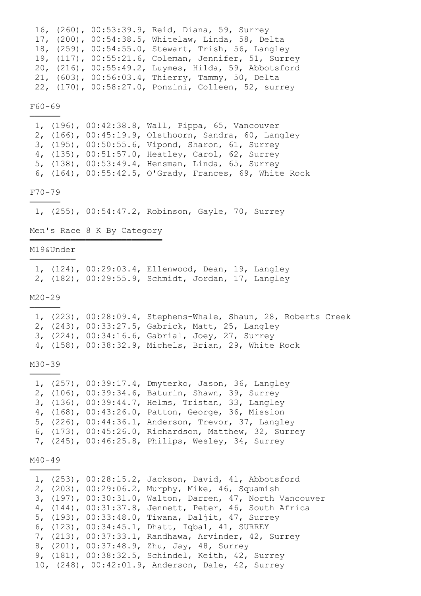|  | 16, (260), 00:53:39.9, Reid, Diana, 59, Surrey       |
|--|------------------------------------------------------|
|  | 17, (200), 00:54:38.5, Whitelaw, Linda, 58, Delta    |
|  | 18, (259), 00:54:55.0, Stewart, Trish, 56, Langley   |
|  | 19, (117), 00:55:21.6, Coleman, Jennifer, 51, Surrey |
|  | 20, (216), 00:55:49.2, Luymes, Hilda, 59, Abbotsford |
|  | 21, (603), 00:56:03.4, Thierry, Tammy, 50, Delta     |
|  | 22, (170), 00:58:27.0, Ponzini, Colleen, 52, surrey  |

F60-69 ──────

> 1, (196), 00:42:38.8, Wall, Pippa, 65, Vancouver 2, (166), 00:45:19.9, Olsthoorn, Sandra, 60, Langley 3, (195), 00:50:55.6, Vipond, Sharon, 61, Surrey 4, (135), 00:51:57.0, Heatley, Carol, 62, Surrey 5, (138), 00:53:49.4, Hensman, Linda, 65, Surrey 6, (164), 00:55:42.5, O'Grady, Frances, 69, White Rock

F70-79 ──────

1, (255), 00:54:47.2, Robinson, Gayle, 70, Surrey

Men's Race 8 K By Category ══════════════════════════

#### M19&Under ─────────

|  | 1, (124), 00:29:03.4, Ellenwood, Dean, 19, Langley |  |
|--|----------------------------------------------------|--|
|  | 2, (182), 00:29:55.9, Schmidt, Jordan, 17, Langley |  |

### M20-29 ──────

 1, (223), 00:28:09.4, Stephens-Whale, Shaun, 28, Roberts Creek 2, (243), 00:33:27.5, Gabrick, Matt, 25, Langley 3, (224), 00:34:16.6, Gabrial, Joey, 27, Surrey 4, (158), 00:38:32.9, Michels, Brian, 29, White Rock

M30-39 ──────

|  | 1, (257), 00:39:17.4, Dmyterko, Jason, 36, Langley    |
|--|-------------------------------------------------------|
|  | 2, (106), 00:39:34.6, Baturin, Shawn, 39, Surrey      |
|  | 3, (136), 00:39:44.7, Helms, Tristan, 33, Langley     |
|  | 4, (168), 00:43:26.0, Patton, George, 36, Mission     |
|  | 5, (226), 00:44:36.1, Anderson, Trevor, 37, Langley   |
|  | 6, (173), 00:45:26.0, Richardson, Matthew, 32, Surrey |
|  | 7, (245), 00:46:25.8, Philips, Wesley, 34, Surrey     |

M40-49 ──────

|  |  | 1, (253), 00:28:15.2, Jackson, David, 41, Abbotsford      |
|--|--|-----------------------------------------------------------|
|  |  | 2, (203), 00:29:06.2, Murphy, Mike, 46, Squamish          |
|  |  | 3, (197), 00:30:31.0, Walton, Darren, 47, North Vancouver |
|  |  | 4, (144), 00:31:37.8, Jennett, Peter, 46, South Africa    |
|  |  | 5, (193), 00:33:48.0, Tiwana, Daljit, 47, Surrey          |
|  |  | 6, (123), 00:34:45.1, Dhatt, Iqbal, 41, SURREY            |
|  |  | 7, (213), 00:37:33.1, Randhawa, Arvinder, 42, Surrey      |
|  |  | 8, (201), 00:37:48.9, Zhu, Jay, 48, Surrey                |
|  |  | 9, (181), 00:38:32.5, Schindel, Keith, 42, Surrey         |
|  |  | 10, (248), 00:42:01.9, Anderson, Dale, 42, Surrey         |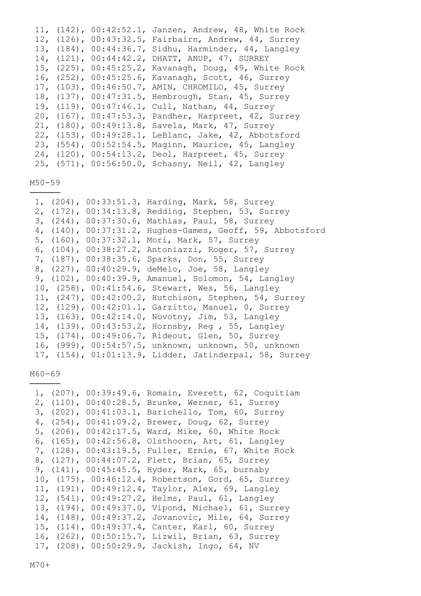|  | 11, (142), 00:42:52.1, Janzen, Andrew, 48, White Rock |
|--|-------------------------------------------------------|
|  | 12, (126), 00:43:32.5, Fairbairn, Andrew, 44, Surrey  |
|  | 13, (184), 00:44:36.7, Sidhu, Harminder, 44, Langley  |
|  | 14, (121), 00:44:42.2, DHATT, ANUP, 47, SURREY        |
|  | 15, (225), 00:45:25.2, Kavanagh, Doug, 49, White Rock |
|  | 16, (252), 00:45:25.6, Kavanagh, Scott, 46, Surrey    |
|  | 17, (103), 00:46:50.7, AMIN, CHROMILO, 45, Surrey     |
|  | 18, (137), 00:47:31.5, Hembrough, Stan, 45, Surrey    |
|  | 19, (119), 00:47:46.1, Cull, Nathan, 44, Surrey       |
|  | 20, (167), 00:47:53.3, Pandher, Harpreet, 42, Surrey  |
|  | 21, (180), 00:49:13.8, Savela, Mark, 47, Surrey       |
|  | 22, (153), 00:49:28.1, LeBlanc, Jake, 42, Abbotsford  |
|  | 23, (554), 00:52:54.5, Maginn, Maurice, 45, Langley   |
|  | 24, (120), 00:54:13.2, Deol, Harpreet, 45, Surrey     |
|  | 25, (571), 00:56:50.0, Schasny, Neil, 42, Langley     |

M50-59 ──────

|  | 1, (204), 00:33:51.3, Harding, Mark, 58, Surrey           |
|--|-----------------------------------------------------------|
|  | 2, (172), 00:34:13.8, Redding, Stephen, 53, Surrey        |
|  | 3, (244), 00:37:30.6, Mathias, Paul, 58, Surrey           |
|  | 4, (140), 00:37:31.2, Hughes-Games, Geoff, 59, Abbotsford |
|  | 5, (160), 00:37:32.1, Mori, Mark, 57, Surrey              |
|  | 6, (104), 00:38:27.2, Antoniazzi, Roger, 57, Surrey       |
|  | 7, (187), 00:38:35.6, Sparks, Don, 55, Surrey             |
|  | 8, (227), 00:40:29.9, deMelo, Joe, 58, Langley            |
|  | 9, (102), 00:40:39.9, Amanuel, Solomon, 54, Langley       |
|  | 10, (258), 00:41:54.6, Stewart, Wes, 56, Langley          |
|  | 11, (247), 00:42:00.2, Hutchison, Stephen, 54, Surrey     |
|  | 12, (129), 00:42:01.1, Garzitto, Manuel, 0, Surrey        |
|  | 13, (163), 00:42:14.0, Novotny, Jim, 53, Langley          |
|  | 14, (139), 00:43:53.2, Hornsby, Reg , 55, Langley         |
|  | 15, (174), 00:49:06.7, Rideout, Glen, 50, Surrey          |
|  | 16, (999), 00:54:57.5, unknown, unknown, 50, unknown      |
|  | 17, (154), 01:01:13.9, Lidder, Jatinderpal, 58, Surrey    |

M60-69 ──────

| 1, (207), 00:39:49.6, Romain, Everett, 62, Coquitlam    |
|---------------------------------------------------------|
| 2, (110), 00:40:28.5, Brunke, Werner, 61, Surrey        |
| $3, (202)$ ,<br>00:41:03.1, Barichello, Tom, 60, Surrey |
| $4, (254)$ ,<br>00:41:09.2, Brewer, Doug, 62, Surrey    |
| Ward, Mike, 60, White Rock<br>5, (206), 00:42:17.5,     |
| Olsthoorn, Art, 61, Langley<br>6, $(165)$ , 00:42:56.8, |
| 7, (128), 00:43:19.5, Fuller, Ernie, 67, White Rock     |
| 8, (127), 00:44:07.2, Flett, Brian, 65, Surrey          |
| 9, (141), 00:45:45.5, Hyder, Mark, 65, burnaby          |
| 10, (175), 00:46:12.4, Robertson, Gord, 65, Surrey      |
| 11, (191), 00:49:12.4, Taylor, Alex, 69, Langley        |
| 12, (541), 00:49:27.2, Helms, Paul, 61, Langley         |
| 13, (194), 00:49:37.0, Vipond, Michael, 61, Surrey      |
| 14, (148), 00:49:37.2, Jovanovic, Mile, 64, Surrey      |
| 15, (114), 00:49:37.4, Canter, Karl, 60, Surrey         |
| 16, (262), 00:50:15.7, Lizwil, Brian, 63, Surrey        |
| 17, (208), 00:50:29.9, Jackish, Ingo, 64, NV            |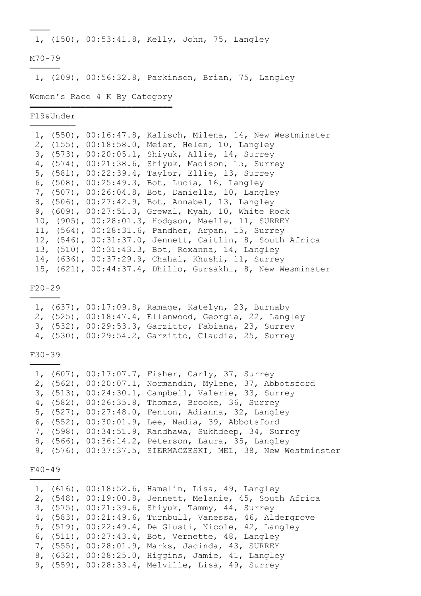1, (150), 00:53:41.8, Kelly, John, 75, Langley

# M70-79 ──────

────

1, (209), 00:56:32.8, Parkinson, Brian, 75, Langley

## Women's Race 4 K By Category ════════════════════════════

F19&Under ─────────

|  | 1, $(550)$ , 00:16:47.8, Kalisch, Milena, 14, New Westminster |
|--|---------------------------------------------------------------|
|  | 2, (155), 00:18:58.0, Meier, Helen, 10, Langley               |
|  | 3, (573), 00:20:05.1, Shiyuk, Allie, 14, Surrey               |
|  | 4, (574), 00:21:38.6, Shiyuk, Madison, 15, Surrey             |
|  | 5, (581), 00:22:39.4, Taylor, Ellie, 13, Surrey               |
|  | 6, (508), 00:25:49.3, Bot, Lucia, 16, Langley                 |
|  | 7, (507), 00:26:04.8, Bot, Daniella, 10, Langley              |
|  | 8, (506), 00:27:42.9, Bot, Annabel, 13, Langley               |
|  | 9, (609), 00:27:51.3, Grewal, Myah, 10, White Rock            |
|  | 10, (905), 00:28:01.3, Hodgson, Maella, 11, SURREY            |
|  | 11, (564), 00:28:31.6, Pandher, Arpan, 15, Surrey             |
|  | 12, (546), 00:31:37.0, Jennett, Caitlin, 8, South Africa      |
|  | 13, (510), 00:31:43.3, Bot, Roxanna, 14, Langley              |
|  | 14, (636), 00:37:29.9, Chahal, Khushi, 11, Surrey             |
|  | 15, (621), 00:44:37.4, Dhilio, Gursakhi, 8, New Wesminster    |
|  |                                                               |

F20-29 ──────

|  | 1, (637), 00:17:09.8, Ramage, Katelyn, 23, Burnaby    |  |  |
|--|-------------------------------------------------------|--|--|
|  | 2, (525), 00:18:47.4, Ellenwood, Georgia, 22, Langley |  |  |
|  | 3, (532), 00:29:53.3, Garzitto, Fabiana, 23, Surrey   |  |  |
|  | 4, (530), 00:29:54.2, Garzitto, Claudia, 25, Surrey   |  |  |

# F30-39 ──────

|  | 1, (607), 00:17:07.7, Fisher, Carly, 37, Surrey              |
|--|--------------------------------------------------------------|
|  | 2, (562), 00:20:07.1, Normandin, Mylene, 37, Abbotsford      |
|  | 3, (513), 00:24:30.1, Campbell, Valerie, 33, Surrey          |
|  | 4, (582), 00:26:35.8, Thomas, Brooke, 36, Surrey             |
|  | 5, (527), 00:27:48.0, Fenton, Adianna, 32, Langley           |
|  | 6, (552), 00:30:01.9, Lee, Nadia, 39, Abbotsford             |
|  | 7, (598), 00:34:51.9, Randhawa, Sukhdeep, 34, Surrey         |
|  | 8, (566), 00:36:14.2, Peterson, Laura, 35, Langley           |
|  | 9, (576), 00:37:37.5, SIERMACZESKI, MEL, 38, New Westminster |
|  |                                                              |

F40-49 ──────

|  | 1, (616), 00:18:52.6, Hamelin, Lisa, 49, Langley         |
|--|----------------------------------------------------------|
|  | 2, (548), 00:19:00.8, Jennett, Melanie, 45, South Africa |
|  | 3, (575), 00:21:39.6, Shiyuk, Tammy, 44, Surrey          |
|  | 4, (583), 00:21:49.6, Turnbull, Vanessa, 46, Aldergrove  |
|  | 5, (519), 00:22:49.4, De Giusti, Nicole, 42, Langley     |
|  | 6, (511), 00:27:43.4, Bot, Vernette, 48, Langley         |
|  | 7, (555), 00:28:01.9, Marks, Jacinda, 43, SURREY         |
|  | 8, (632), 00:28:25.0, Higgins, Jamie, 41, Langley        |
|  | 9, (559), 00:28:33.4, Melville, Lisa, 49, Surrey         |
|  |                                                          |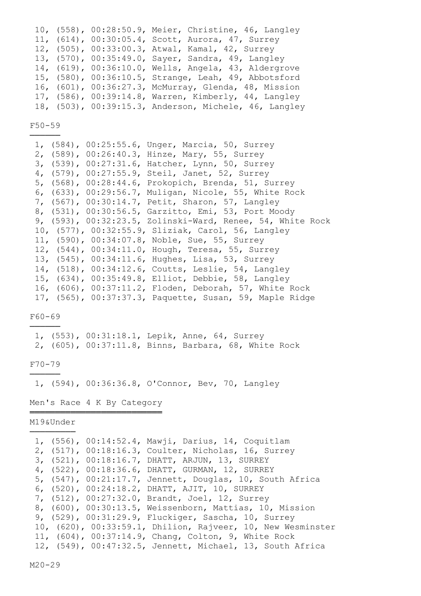|  | 10, (558), 00:28:50.9, Meier, Christine, 46, Langley  |
|--|-------------------------------------------------------|
|  | 11, (614), 00:30:05.4, Scott, Aurora, 47, Surrey      |
|  | 12, (505), 00:33:00.3, Atwal, Kamal, 42, Surrey       |
|  | 13, (570), 00:35:49.0, Sayer, Sandra, 49, Langley     |
|  | 14, (619), 00:36:10.0, Wells, Angela, 43, Aldergrove  |
|  | 15, (580), 00:36:10.5, Strange, Leah, 49, Abbotsford  |
|  | 16, (601), 00:36:27.3, McMurray, Glenda, 48, Mission  |
|  | 17, (586), 00:39:14.8, Warren, Kimberly, 44, Langley  |
|  | 18, (503), 00:39:15.3, Anderson, Michele, 46, Langley |

F50-59 ──────

|  | 1, (584), 00:25:55.6, Unger, Marcia, 50, Surrey            |
|--|------------------------------------------------------------|
|  | 2, (589), 00:26:40.3, Hinze, Mary, 55, Surrey              |
|  | 3, (539), 00:27:31.6, Hatcher, Lynn, 50, Surrey            |
|  | 4, (579), 00:27:55.9, Steil, Janet, 52, Surrey             |
|  | 5, (568), 00:28:44.6, Prokopich, Brenda, 51, Surrey        |
|  | 6, (633), 00:29:56.7, Muligan, Nicole, 55, White Rock      |
|  | 7, (567), 00:30:14.7, Petit, Sharon, 57, Langley           |
|  | 8, (531), 00:30:56.5, Garzitto, Emi, 53, Port Moody        |
|  | 9, (593), 00:32:23.5, Zolinski-Ward, Renee, 54, White Rock |
|  | 10, (577), 00:32:55.9, Sliziak, Carol, 56, Langley         |
|  | 11, (590), 00:34:07.8, Noble, Sue, 55, Surrey              |
|  | 12, (544), 00:34:11.0, Hough, Teresa, 55, Surrey           |
|  | 13, (545), 00:34:11.6, Hughes, Lisa, 53, Surrey            |
|  | 14, (518), 00:34:12.6, Coutts, Leslie, 54, Langley         |
|  | 15, (634), 00:35:49.8, Elliot, Debbie, 58, Langley         |
|  | 16, (606), 00:37:11.2, Floden, Deborah, 57, White Rock     |
|  | 17, (565), 00:37:37.3, Paquette, Susan, 59, Maple Ridge    |

# F60-69 ──────

 1, (553), 00:31:18.1, Lepik, Anne, 64, Surrey 2, (605), 00:37:11.8, Binns, Barbara, 68, White Rock

# F70-79 ──────

1, (594), 00:36:36.8, O'Connor, Bev, 70, Langley

Men's Race 4 K By Category ══════════════════════════

# M19&Under ─────────

|  |  | 1, (556), 00:14:52.4, Mawji, Darius, 14, Coquitlam          |
|--|--|-------------------------------------------------------------|
|  |  | 2, (517), 00:18:16.3, Coulter, Nicholas, 16, Surrey         |
|  |  | 3, (521), 00:18:16.7, DHATT, ARJUN, 13, SURREY              |
|  |  | 4, (522), 00:18:36.6, DHATT, GURMAN, 12, SURREY             |
|  |  | 5, (547), 00:21:17.7, Jennett, Douglas, 10, South Africa    |
|  |  | 6, (520), 00:24:18.2, DHATT, AJIT, 10, SURREY               |
|  |  | 7, (512), 00:27:32.0, Brandt, Joel, 12, Surrey              |
|  |  | 8, (600), 00:30:13.5, Weissenborn, Mattias, 10, Mission     |
|  |  | 9, (529), 00:31:29.9, Fluckiger, Sascha, 10, Surrey         |
|  |  | 10, (620), 00:33:59.1, Dhilion, Rajveer, 10, New Wesminster |
|  |  | 11, (604), 00:37:14.9, Chang, Colton, 9, White Rock         |
|  |  | 12, (549), 00:47:32.5, Jennett, Michael, 13, South Africa   |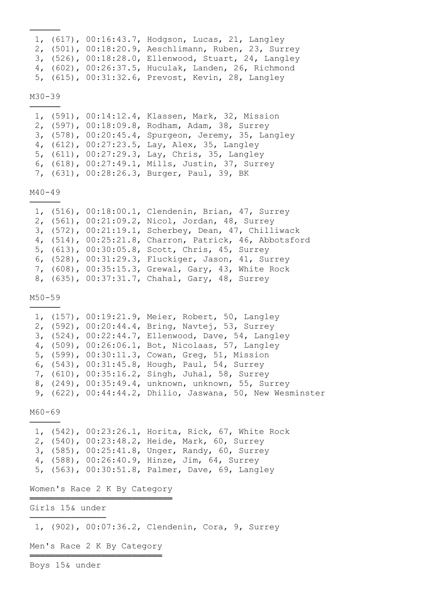|  | 1, (617), 00:16:43.7, Hodgson, Lucas, 21, Langley    |
|--|------------------------------------------------------|
|  | 2, (501), 00:18:20.9, Aeschlimann, Ruben, 23, Surrey |
|  | 3, (526), 00:18:28.0, Ellenwood, Stuart, 24, Langley |
|  | 4, (602), 00:26:37.5, Huculak, Landen, 26, Richmond  |
|  | 5, (615), 00:31:32.6, Prevost, Kevin, 28, Langley    |

## M30-39 ──────

 1, (591), 00:14:12.4, Klassen, Mark, 32, Mission 2, (597), 00:18:09.8, Rodham, Adam, 38, Surrey 3, (578), 00:20:45.4, Spurgeon, Jeremy, 35, Langley 4, (612), 00:27:23.5, Lay, Alex, 35, Langley 5, (611), 00:27:29.3, Lay, Chris, 35, Langley 6, (618), 00:27:49.1, Mills, Justin, 37, Surrey 7, (631), 00:28:26.3, Burger, Paul, 39, BK

M40-49 ──────

|  | 1, (516), 00:18:00.1, Clendenin, Brian, 47, Surrey     |
|--|--------------------------------------------------------|
|  | 2, (561), 00:21:09.2, Nicol, Jordan, 48, Surrey        |
|  | 3, (572), 00:21:19.1, Scherbey, Dean, 47, Chilliwack   |
|  | 4, (514), 00:25:21.8, Charron, Patrick, 46, Abbotsford |
|  | 5, (613), 00:30:05.8, Scott, Chris, 45, Surrey         |
|  | 6, (528), 00:31:29.3, Fluckiger, Jason, 41, Surrey     |
|  | 7, (608), 00:35:15.3, Grewal, Gary, 43, White Rock     |
|  | 8, (635), 00:37:31.7, Chahal, Gary, 48, Surrey         |
|  |                                                        |

M50-59 ──────

|  | 1, (157), 00:19:21.9, Meier, Robert, 50, Langley   |                                                                 |
|--|----------------------------------------------------|-----------------------------------------------------------------|
|  | 2, (592), 00:20:44.4, Bring, Navtej, 53, Surrey    |                                                                 |
|  | 3, (524), 00:22:44.7, Ellenwood, Dave, 54, Langley |                                                                 |
|  | 4, (509), 00:26:06.1, Bot, Nicolaas, 57, Langley   |                                                                 |
|  | 5, (599), 00:30:11.3, Cowan, Greq, 51, Mission     |                                                                 |
|  | 6, (543), 00:31:45.8, Hough, Paul, 54, Surrey      |                                                                 |
|  | 7, (610), 00:35:16.2, Singh, Juhal, 58, Surrey     |                                                                 |
|  | 8, (249), 00:35:49.4, unknown, unknown, 55, Surrey |                                                                 |
|  |                                                    | 9, $(622)$ , $00:44:44.2$ , Dhilio, Jaswana, 50, New Wesminster |

M60-69 ──────

> 1, (542), 00:23:26.1, Horita, Rick, 67, White Rock 2, (540), 00:23:48.2, Heide, Mark, 60, Surrey 3, (585), 00:25:41.8, Unger, Randy, 60, Surrey 4, (588), 00:26:40.9, Hinze, Jim, 64, Surrey 5, (563), 00:30:51.8, Palmer, Dave, 69, Langley

Women's Race 2 K By Category ════════════════════════════

Girls 15& under ──────────────────────────────

1, (902), 00:07:36.2, Clendenin, Cora, 9, Surrey

Men's Race 2 K By Category ══════════════════════════

Boys 15& under